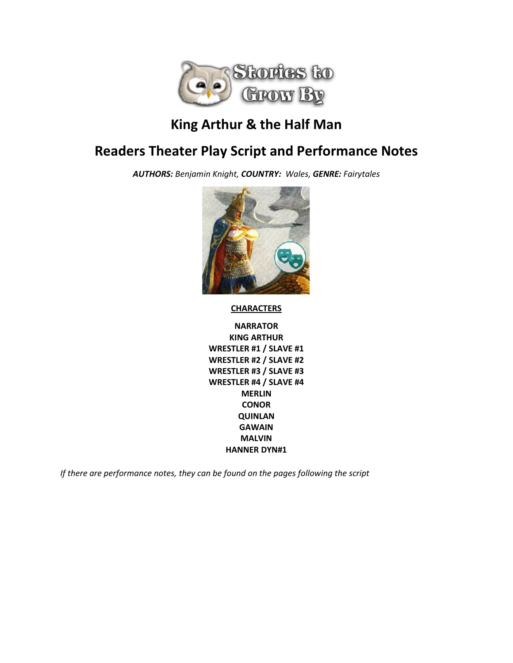

# **King Arthur & the Half Man**

# **Readers Theater Play Script and Performance Notes**

*AUTHORS: Benjamin Knight, COUNTRY: Wales, GENRE: Fairytales*



#### **CHARACTERS**

**NARRATOR KING ARTHUR WRESTLER #1 / SLAVE #1 WRESTLER #2 / SLAVE #2 WRESTLER #3 / SLAVE #3 WRESTLER #4 / SLAVE #4 MERLIN CONOR QUINLAN GAWAIN MALVIN HANNER DYN#1**

*If there are performance notes, they can be found on the pages following the script*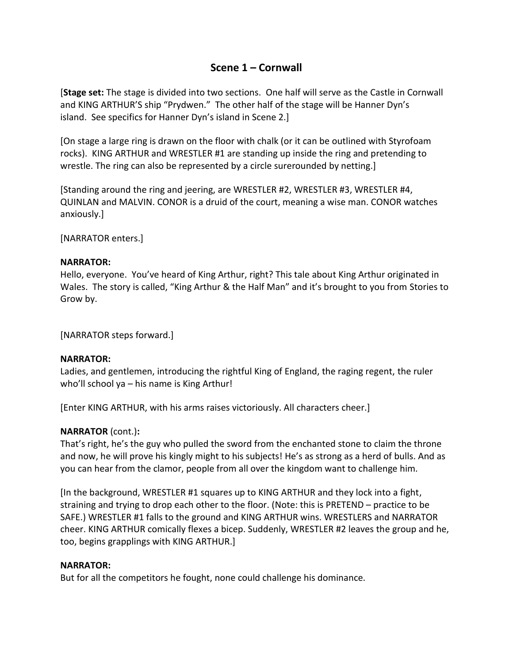## **Scene 1 – Cornwall**

[**Stage set:** The stage is divided into two sections. One half will serve as the Castle in Cornwall and KING ARTHUR'S ship "Prydwen." The other half of the stage will be Hanner Dyn's island. See specifics for Hanner Dyn's island in Scene 2.]

[On stage a large ring is drawn on the floor with chalk (or it can be outlined with Styrofoam rocks). KING ARTHUR and WRESTLER #1 are standing up inside the ring and pretending to wrestle. The ring can also be represented by a circle surerounded by netting.]

[Standing around the ring and jeering, are WRESTLER #2, WRESTLER #3, WRESTLER #4, QUINLAN and MALVIN. CONOR is a druid of the court, meaning a wise man. CONOR watches anxiously.]

[NARRATOR enters.]

#### **NARRATOR:**

Hello, everyone. You've heard of King Arthur, right? This tale about King Arthur originated in Wales. The story is called, "King Arthur & the Half Man" and it's brought to you from Stories to Grow by.

[NARRATOR steps forward.]

#### **NARRATOR:**

Ladies, and gentlemen, introducing the rightful King of England, the raging regent, the ruler who'll school ya – his name is King Arthur!

[Enter KING ARTHUR, with his arms raises victoriously. All characters cheer.]

## **NARRATOR** (cont.)**:**

That's right, he's the guy who pulled the sword from the enchanted stone to claim the throne and now, he will prove his kingly might to his subjects! He's as strong as a herd of bulls. And as you can hear from the clamor, people from all over the kingdom want to challenge him.

[In the background, WRESTLER #1 squares up to KING ARTHUR and they lock into a fight, straining and trying to drop each other to the floor. (Note: this is PRETEND – practice to be SAFE.) WRESTLER #1 falls to the ground and KING ARTHUR wins. WRESTLERS and NARRATOR cheer. KING ARTHUR comically flexes a bicep. Suddenly, WRESTLER #2 leaves the group and he, too, begins grapplings with KING ARTHUR.]

#### **NARRATOR:**

But for all the competitors he fought, none could challenge his dominance.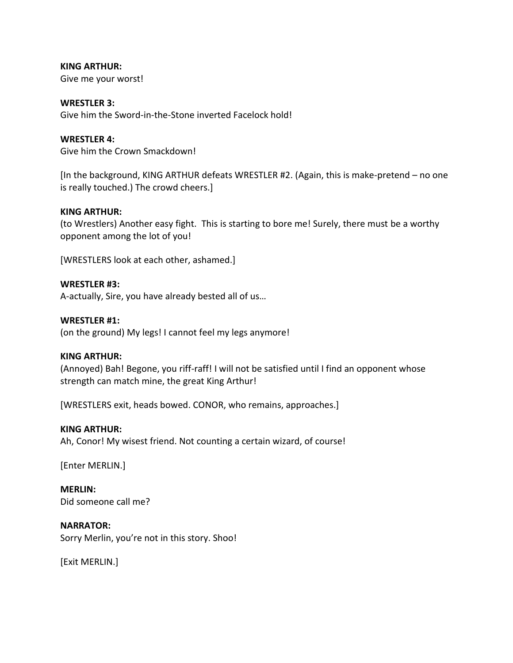**KING ARTHUR:**

Give me your worst!

#### **WRESTLER 3:**

Give him the Sword-in-the-Stone inverted Facelock hold!

#### **WRESTLER 4:**

Give him the Crown Smackdown!

[In the background, KING ARTHUR defeats WRESTLER #2. (Again, this is make-pretend – no one is really touched.) The crowd cheers.]

#### **KING ARTHUR:**

(to Wrestlers) Another easy fight. This is starting to bore me! Surely, there must be a worthy opponent among the lot of you!

[WRESTLERS look at each other, ashamed.]

#### **WRESTLER #3:**

A-actually, Sire, you have already bested all of us…

#### **WRESTLER #1:**

(on the ground) My legs! I cannot feel my legs anymore!

#### **KING ARTHUR:**

(Annoyed) Bah! Begone, you riff-raff! I will not be satisfied until I find an opponent whose strength can match mine, the great King Arthur!

[WRESTLERS exit, heads bowed. CONOR, who remains, approaches.]

#### **KING ARTHUR:**

Ah, Conor! My wisest friend. Not counting a certain wizard, of course!

[Enter MERLIN.]

#### **MERLIN:**

Did someone call me?

## **NARRATOR:**

Sorry Merlin, you're not in this story. Shoo!

[Exit MERLIN.]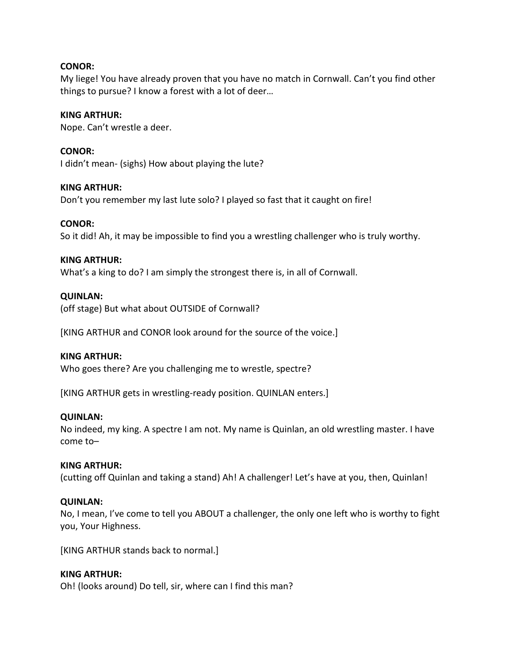#### **CONOR:**

My liege! You have already proven that you have no match in Cornwall. Can't you find other things to pursue? I know a forest with a lot of deer…

#### **KING ARTHUR:**

Nope. Can't wrestle a deer.

## **CONOR:**

I didn't mean- (sighs) How about playing the lute?

#### **KING ARTHUR:**

Don't you remember my last lute solo? I played so fast that it caught on fire!

#### **CONOR:**

So it did! Ah, it may be impossible to find you a wrestling challenger who is truly worthy.

#### **KING ARTHUR:**

What's a king to do? I am simply the strongest there is, in all of Cornwall.

#### **QUINLAN:**

(off stage) But what about OUTSIDE of Cornwall?

[KING ARTHUR and CONOR look around for the source of the voice.]

#### **KING ARTHUR:**

Who goes there? Are you challenging me to wrestle, spectre?

[KING ARTHUR gets in wrestling-ready position. QUINLAN enters.]

#### **QUINLAN:**

No indeed, my king. A spectre I am not. My name is Quinlan, an old wrestling master. I have come to–

#### **KING ARTHUR:**

(cutting off Quinlan and taking a stand) Ah! A challenger! Let's have at you, then, Quinlan!

#### **QUINLAN:**

No, I mean, I've come to tell you ABOUT a challenger, the only one left who is worthy to fight you, Your Highness.

[KING ARTHUR stands back to normal.]

#### **KING ARTHUR:**

Oh! (looks around) Do tell, sir, where can I find this man?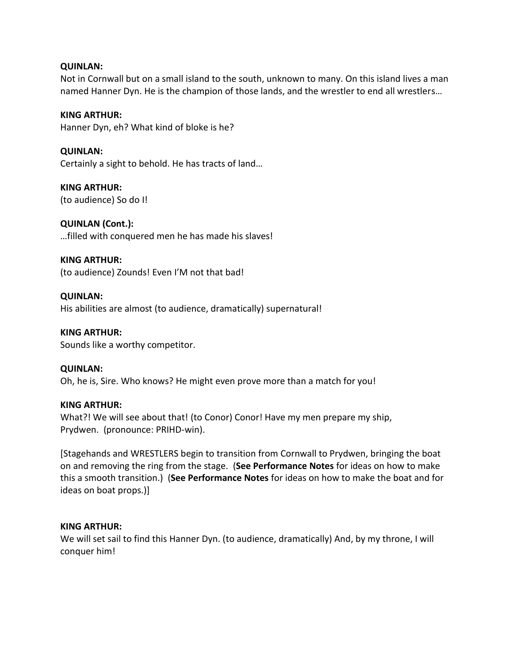#### **QUINLAN:**

Not in Cornwall but on a small island to the south, unknown to many. On this island lives a man named Hanner Dyn. He is the champion of those lands, and the wrestler to end all wrestlers…

**KING ARTHUR:** Hanner Dyn, eh? What kind of bloke is he?

**QUINLAN:** Certainly a sight to behold. He has tracts of land…

**KING ARTHUR:** (to audience) So do I!

#### **QUINLAN (Cont.):**

…filled with conquered men he has made his slaves!

#### **KING ARTHUR:**

(to audience) Zounds! Even I'M not that bad!

#### **QUINLAN:**

His abilities are almost (to audience, dramatically) supernatural!

**KING ARTHUR:** Sounds like a worthy competitor.

#### **QUINLAN:**

Oh, he is, Sire. Who knows? He might even prove more than a match for you!

#### **KING ARTHUR:**

What?! We will see about that! (to Conor) Conor! Have my men prepare my ship, Prydwen. (pronounce: PRIHD-win).

[Stagehands and WRESTLERS begin to transition from Cornwall to Prydwen, bringing the boat on and removing the ring from the stage. (**See Performance Notes** for ideas on how to make this a smooth transition.) (**See Performance Notes** for ideas on how to make the boat and for ideas on boat props.)]

#### **KING ARTHUR:**

We will set sail to find this Hanner Dyn. (to audience, dramatically) And, by my throne, I will conquer him!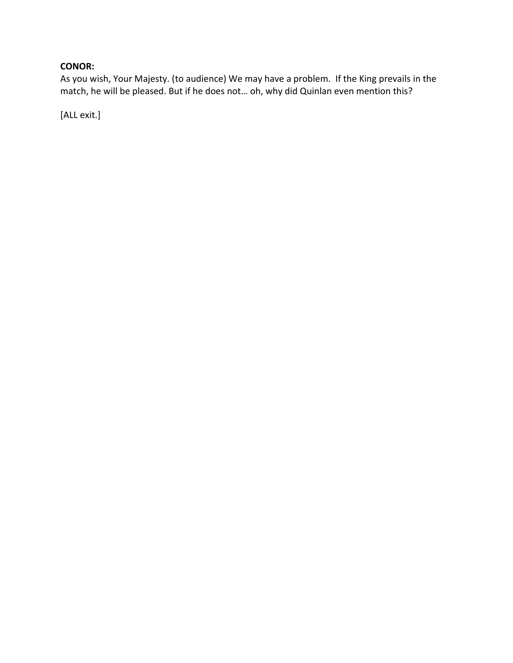## **CONOR:**

As you wish, Your Majesty. (to audience) We may have a problem. If the King prevails in the match, he will be pleased. But if he does not… oh, why did Quinlan even mention this?

[ALL exit.]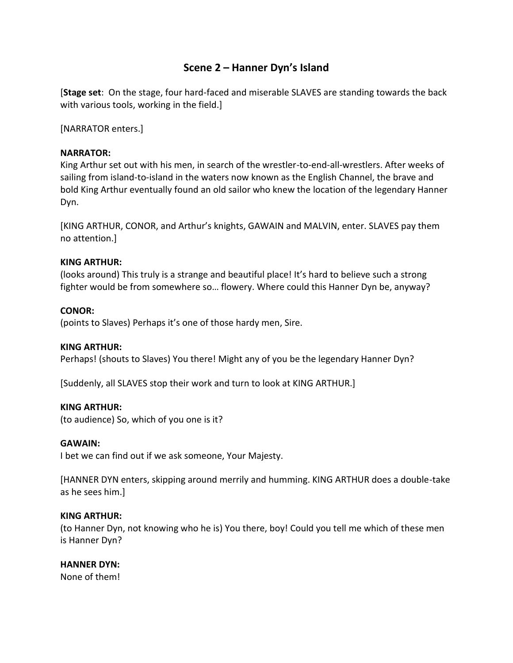## **Scene 2 – Hanner Dyn's Island**

[**Stage set**: On the stage, four hard-faced and miserable SLAVES are standing towards the back with various tools, working in the field.]

[NARRATOR enters.]

#### **NARRATOR:**

King Arthur set out with his men, in search of the wrestler-to-end-all-wrestlers. After weeks of sailing from island-to-island in the waters now known as the English Channel, the brave and bold King Arthur eventually found an old sailor who knew the location of the legendary Hanner Dyn.

[KING ARTHUR, CONOR, and Arthur's knights, GAWAIN and MALVIN, enter. SLAVES pay them no attention.]

#### **KING ARTHUR:**

(looks around) This truly is a strange and beautiful place! It's hard to believe such a strong fighter would be from somewhere so… flowery. Where could this Hanner Dyn be, anyway?

#### **CONOR:**

(points to Slaves) Perhaps it's one of those hardy men, Sire.

#### **KING ARTHUR:**

Perhaps! (shouts to Slaves) You there! Might any of you be the legendary Hanner Dyn?

[Suddenly, all SLAVES stop their work and turn to look at KING ARTHUR.]

#### **KING ARTHUR:**

(to audience) So, which of you one is it?

#### **GAWAIN:**

I bet we can find out if we ask someone, Your Majesty.

[HANNER DYN enters, skipping around merrily and humming. KING ARTHUR does a double-take as he sees him.]

#### **KING ARTHUR:**

(to Hanner Dyn, not knowing who he is) You there, boy! Could you tell me which of these men is Hanner Dyn?

#### **HANNER DYN:**

None of them!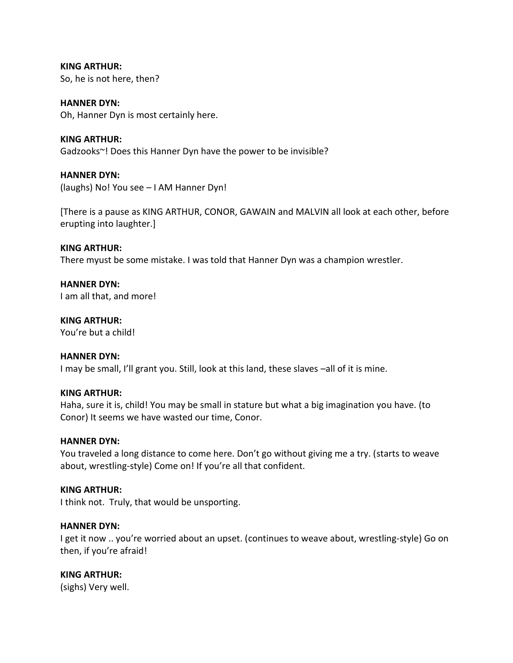**KING ARTHUR:** So, he is not here, then?

**HANNER DYN:** Oh, Hanner Dyn is most certainly here.

**KING ARTHUR:** Gadzooks~! Does this Hanner Dyn have the power to be invisible?

**HANNER DYN:** (laughs) No! You see – I AM Hanner Dyn!

[There is a pause as KING ARTHUR, CONOR, GAWAIN and MALVIN all look at each other, before erupting into laughter.]

**KING ARTHUR:** There myust be some mistake. I was told that Hanner Dyn was a champion wrestler.

**HANNER DYN:** I am all that, and more!

**KING ARTHUR:** You're but a child!

**HANNER DYN:** I may be small, I'll grant you. Still, look at this land, these slaves –all of it is mine.

#### **KING ARTHUR:**

Haha, sure it is, child! You may be small in stature but what a big imagination you have. (to Conor) It seems we have wasted our time, Conor.

#### **HANNER DYN:**

You traveled a long distance to come here. Don't go without giving me a try. (starts to weave about, wrestling-style) Come on! If you're all that confident.

#### **KING ARTHUR:**

I think not. Truly, that would be unsporting.

#### **HANNER DYN:**

I get it now .. you're worried about an upset. (continues to weave about, wrestling-style) Go on then, if you're afraid!

#### **KING ARTHUR:**

(sighs) Very well.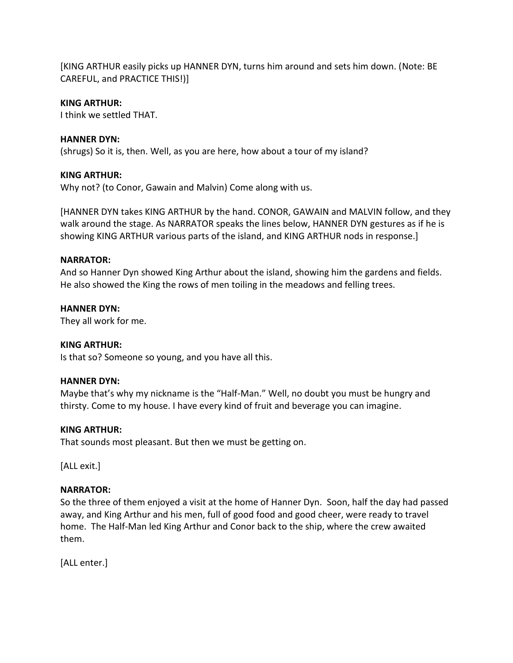[KING ARTHUR easily picks up HANNER DYN, turns him around and sets him down. (Note: BE CAREFUL, and PRACTICE THIS!)]

## **KING ARTHUR:**

I think we settled THAT.

## **HANNER DYN:**

(shrugs) So it is, then. Well, as you are here, how about a tour of my island?

## **KING ARTHUR:**

Why not? (to Conor, Gawain and Malvin) Come along with us.

[HANNER DYN takes KING ARTHUR by the hand. CONOR, GAWAIN and MALVIN follow, and they walk around the stage. As NARRATOR speaks the lines below, HANNER DYN gestures as if he is showing KING ARTHUR various parts of the island, and KING ARTHUR nods in response.]

#### **NARRATOR:**

And so Hanner Dyn showed King Arthur about the island, showing him the gardens and fields. He also showed the King the rows of men toiling in the meadows and felling trees.

## **HANNER DYN:**

They all work for me.

## **KING ARTHUR:**

Is that so? Someone so young, and you have all this.

#### **HANNER DYN:**

Maybe that's why my nickname is the "Half-Man." Well, no doubt you must be hungry and thirsty. Come to my house. I have every kind of fruit and beverage you can imagine.

#### **KING ARTHUR:**

That sounds most pleasant. But then we must be getting on.

[ALL exit.]

## **NARRATOR:**

So the three of them enjoyed a visit at the home of Hanner Dyn. Soon, half the day had passed away, and King Arthur and his men, full of good food and good cheer, were ready to travel home. The Half-Man led King Arthur and Conor back to the ship, where the crew awaited them.

[ALL enter.]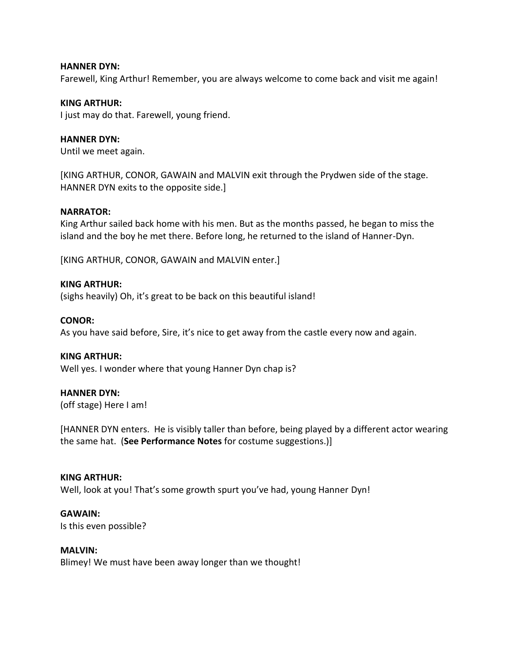#### **HANNER DYN:**

Farewell, King Arthur! Remember, you are always welcome to come back and visit me again!

#### **KING ARTHUR:**

I just may do that. Farewell, young friend.

#### **HANNER DYN:**

Until we meet again.

[KING ARTHUR, CONOR, GAWAIN and MALVIN exit through the Prydwen side of the stage. HANNER DYN exits to the opposite side.]

#### **NARRATOR:**

King Arthur sailed back home with his men. But as the months passed, he began to miss the island and the boy he met there. Before long, he returned to the island of Hanner-Dyn.

[KING ARTHUR, CONOR, GAWAIN and MALVIN enter.]

#### **KING ARTHUR:**

(sighs heavily) Oh, it's great to be back on this beautiful island!

#### **CONOR:**

As you have said before, Sire, it's nice to get away from the castle every now and again.

#### **KING ARTHUR:**

Well yes. I wonder where that young Hanner Dyn chap is?

#### **HANNER DYN:**

(off stage) Here I am!

[HANNER DYN enters. He is visibly taller than before, being played by a different actor wearing the same hat. (**See Performance Notes** for costume suggestions.)]

#### **KING ARTHUR:**

Well, look at you! That's some growth spurt you've had, young Hanner Dyn!

#### **GAWAIN:**

Is this even possible?

#### **MALVIN:**

Blimey! We must have been away longer than we thought!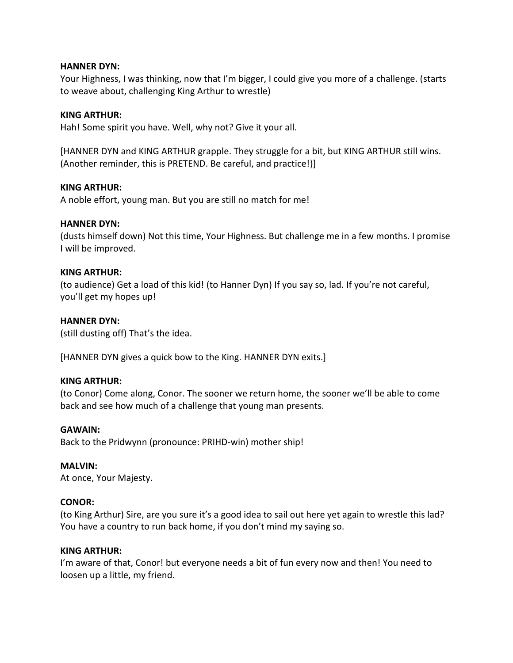#### **HANNER DYN:**

Your Highness, I was thinking, now that I'm bigger, I could give you more of a challenge. (starts to weave about, challenging King Arthur to wrestle)

#### **KING ARTHUR:**

Hah! Some spirit you have. Well, why not? Give it your all.

[HANNER DYN and KING ARTHUR grapple. They struggle for a bit, but KING ARTHUR still wins. (Another reminder, this is PRETEND. Be careful, and practice!)]

#### **KING ARTHUR:**

A noble effort, young man. But you are still no match for me!

#### **HANNER DYN:**

(dusts himself down) Not this time, Your Highness. But challenge me in a few months. I promise I will be improved.

#### **KING ARTHUR:**

(to audience) Get a load of this kid! (to Hanner Dyn) If you say so, lad. If you're not careful, you'll get my hopes up!

#### **HANNER DYN:**

(still dusting off) That's the idea.

[HANNER DYN gives a quick bow to the King. HANNER DYN exits.]

#### **KING ARTHUR:**

(to Conor) Come along, Conor. The sooner we return home, the sooner we'll be able to come back and see how much of a challenge that young man presents.

#### **GAWAIN:**

Back to the Pridwynn (pronounce: PRIHD-win) mother ship!

#### **MALVIN:**

At once, Your Majesty.

#### **CONOR:**

(to King Arthur) Sire, are you sure it's a good idea to sail out here yet again to wrestle this lad? You have a country to run back home, if you don't mind my saying so.

#### **KING ARTHUR:**

I'm aware of that, Conor! but everyone needs a bit of fun every now and then! You need to loosen up a little, my friend.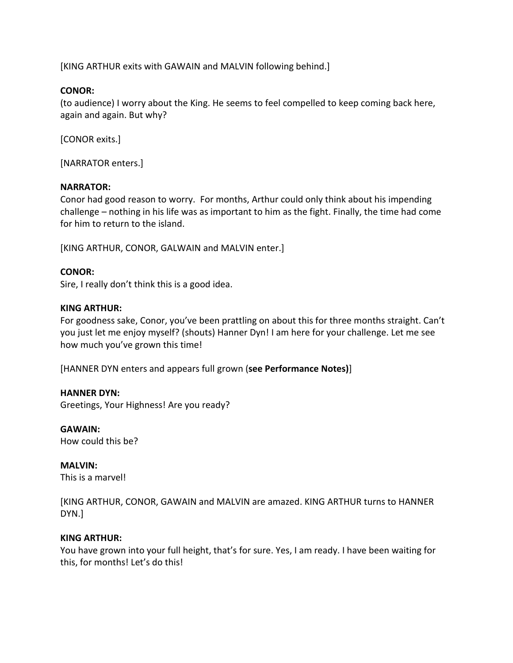[KING ARTHUR exits with GAWAIN and MALVIN following behind.]

#### **CONOR:**

(to audience) I worry about the King. He seems to feel compelled to keep coming back here, again and again. But why?

[CONOR exits.]

[NARRATOR enters.]

#### **NARRATOR:**

Conor had good reason to worry. For months, Arthur could only think about his impending challenge – nothing in his life was as important to him as the fight. Finally, the time had come for him to return to the island.

[KING ARTHUR, CONOR, GALWAIN and MALVIN enter.]

#### **CONOR:**

Sire, I really don't think this is a good idea.

#### **KING ARTHUR:**

For goodness sake, Conor, you've been prattling on about this for three months straight. Can't you just let me enjoy myself? (shouts) Hanner Dyn! I am here for your challenge. Let me see how much you've grown this time!

[HANNER DYN enters and appears full grown (**see Performance Notes)**]

#### **HANNER DYN:**

Greetings, Your Highness! Are you ready?

**GAWAIN:** How could this be?

**MALVIN:** This is a marvel!

[KING ARTHUR, CONOR, GAWAIN and MALVIN are amazed. KING ARTHUR turns to HANNER DYN.]

#### **KING ARTHUR:**

You have grown into your full height, that's for sure. Yes, I am ready. I have been waiting for this, for months! Let's do this!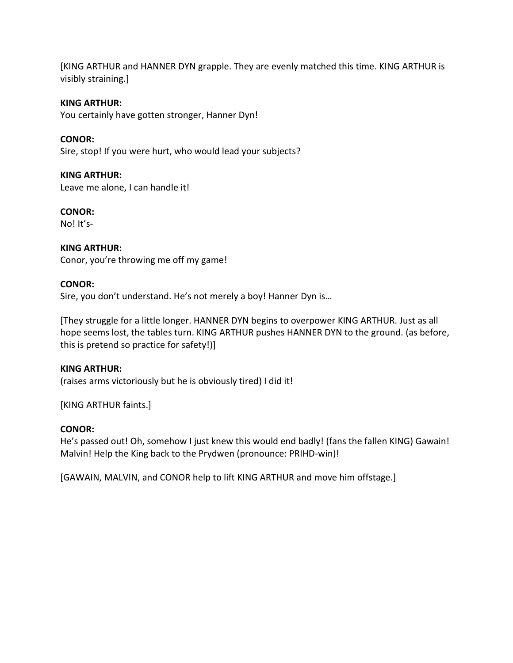[KING ARTHUR and HANNER DYN grapple. They are evenly matched this time. KING ARTHUR is visibly straining.]

### **KING ARTHUR:**

You certainly have gotten stronger, Hanner Dyn!

## **CONOR:**

Sire, stop! If you were hurt, who would lead your subjects?

#### **KING ARTHUR:**

Leave me alone, I can handle it!

## **CONOR:**

No! It's-

## **KING ARTHUR:**

Conor, you're throwing me off my game!

## **CONOR:**

Sire, you don't understand. He's not merely a boy! Hanner Dyn is…

[They struggle for a little longer. HANNER DYN begins to overpower KING ARTHUR. Just as all hope seems lost, the tables turn. KING ARTHUR pushes HANNER DYN to the ground. (as before, this is pretend so practice for safety!)]

#### **KING ARTHUR:**

(raises arms victoriously but he is obviously tired) I did it!

[KING ARTHUR faints.]

#### **CONOR:**

He's passed out! Oh, somehow I just knew this would end badly! (fans the fallen KING) Gawain! Malvin! Help the King back to the Prydwen (pronounce: PRIHD-win)!

[GAWAIN, MALVIN, and CONOR help to lift KING ARTHUR and move him offstage.]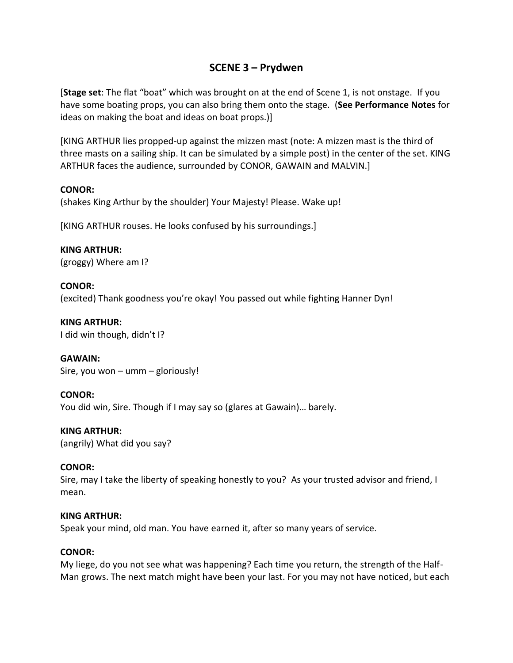## **SCENE 3 – Prydwen**

[**Stage set**: The flat "boat" which was brought on at the end of Scene 1, is not onstage. If you have some boating props, you can also bring them onto the stage. (**See Performance Notes** for ideas on making the boat and ideas on boat props.)]

[KING ARTHUR lies propped-up against the mizzen mast (note: A mizzen mast is the third of three masts on a sailing ship. It can be simulated by a simple post) in the center of the set. KING ARTHUR faces the audience, surrounded by CONOR, GAWAIN and MALVIN.]

#### **CONOR:**

(shakes King Arthur by the shoulder) Your Majesty! Please. Wake up!

[KING ARTHUR rouses. He looks confused by his surroundings.]

**KING ARTHUR:** (groggy) Where am I?

## **CONOR:** (excited) Thank goodness you're okay! You passed out while fighting Hanner Dyn!

**KING ARTHUR:** I did win though, didn't I?

**GAWAIN:** Sire, you won – umm – gloriously!

## **CONOR:**

You did win, Sire. Though if I may say so (glares at Gawain)… barely.

**KING ARTHUR:** (angrily) What did you say?

## **CONOR:**

Sire, may I take the liberty of speaking honestly to you? As your trusted advisor and friend, I mean.

#### **KING ARTHUR:**

Speak your mind, old man. You have earned it, after so many years of service.

## **CONOR:**

My liege, do you not see what was happening? Each time you return, the strength of the Half-Man grows. The next match might have been your last. For you may not have noticed, but each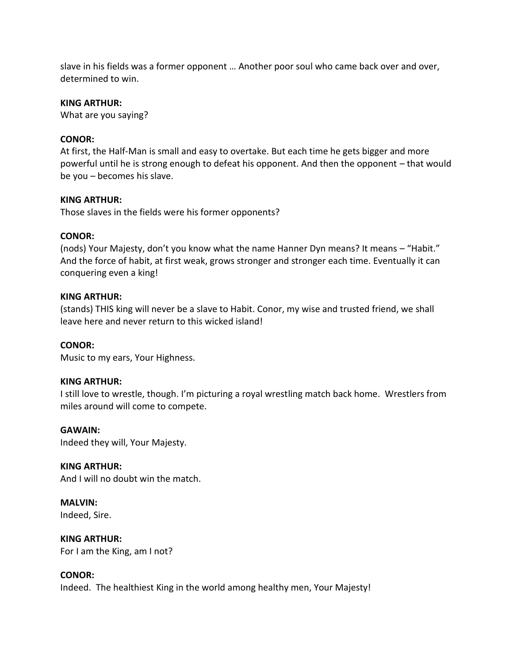slave in his fields was a former opponent … Another poor soul who came back over and over, determined to win.

#### **KING ARTHUR:**

What are you saying?

#### **CONOR:**

At first, the Half-Man is small and easy to overtake. But each time he gets bigger and more powerful until he is strong enough to defeat his opponent. And then the opponent – that would be you – becomes his slave.

#### **KING ARTHUR:**

Those slaves in the fields were his former opponents?

### **CONOR:**

(nods) Your Majesty, don't you know what the name Hanner Dyn means? It means – "Habit." And the force of habit, at first weak, grows stronger and stronger each time. Eventually it can conquering even a king!

#### **KING ARTHUR:**

(stands) THIS king will never be a slave to Habit. Conor, my wise and trusted friend, we shall leave here and never return to this wicked island!

#### **CONOR:**

Music to my ears, Your Highness.

#### **KING ARTHUR:**

I still love to wrestle, though. I'm picturing a royal wrestling match back home. Wrestlers from miles around will come to compete.

#### **GAWAIN:**

Indeed they will, Your Majesty.

#### **KING ARTHUR:**

And I will no doubt win the match.

**MALVIN:** Indeed, Sire.

**KING ARTHUR:** For I am the King, am I not?

#### **CONOR:**

Indeed. The healthiest King in the world among healthy men, Your Majesty!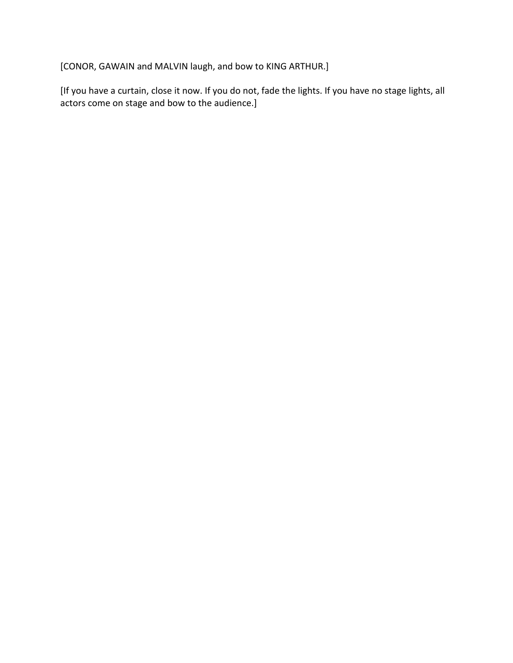[CONOR, GAWAIN and MALVIN laugh, and bow to KING ARTHUR.]

[If you have a curtain, close it now. If you do not, fade the lights. If you have no stage lights, all actors come on stage and bow to the audience.]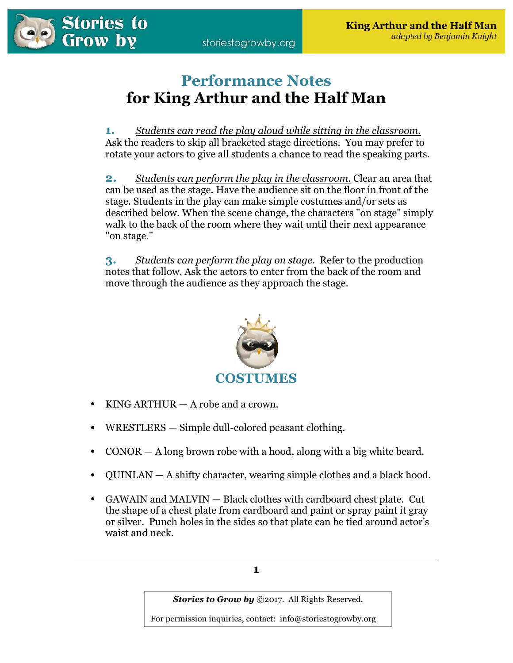

# **Performance Notes for King Arthur and the Half Man**

**1.** *Students can read the play aloud while sitting in the classroom.* Ask the readers to skip all bracketed stage directions. You may prefer to rotate your actors to give all students a chance to read the speaking parts.

**2.** *Students can perform the play in the classroom.* Clear an area that can be used as the stage. Have the audience sit on the floor in front of the stage. Students in the play can make simple costumes and/or sets as described below. When the scene change, the characters "on stage" simply walk to the back of the room where they wait until their next appearance "on stage."

**3.** *Students can perform the play on stage.* Refer to the production notes that follow. Ask the actors to enter from the back of the room and move through the audience as they approach the stage.



- KING ARTHUR  $-$  A robe and a crown.
- WRESTLERS Simple dull-colored peasant clothing.
- $$
- OUINLAN A shifty character, wearing simple clothes and a black hood.
- GAWAIN and MALVIN Black clothes with cardboard chest plate. Cut the shape of a chest plate from cardboard and paint or spray paint it gray or silver. Punch holes in the sides so that plate can be tied around actor's waist and neck.

**1** 

*Stories to Grow by* ©2017. All Rights Reserved.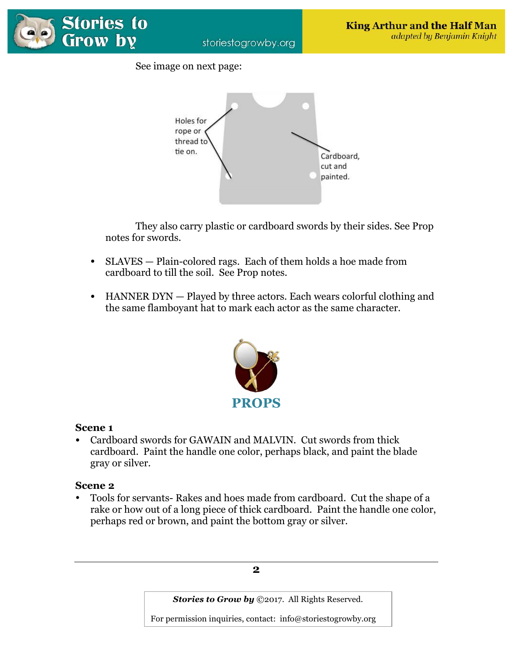

See image on next page:



 They also carry plastic or cardboard swords by their sides. See Prop notes for swords.

- SLAVES Plain-colored rags. Each of them holds a hoe made from cardboard to till the soil. See Prop notes.
- HANNER DYN Played by three actors. Each wears colorful clothing and the same flamboyant hat to mark each actor as the same character.



## **Scene 1**

• Cardboard swords for GAWAIN and MALVIN. Cut swords from thick cardboard. Paint the handle one color, perhaps black, and paint the blade gray or silver.

## **Scene 2**

• Tools for servants- Rakes and hoes made from cardboard. Cut the shape of a rake or how out of a long piece of thick cardboard. Paint the handle one color, perhaps red or brown, and paint the bottom gray or silver.



*Stories to Grow by* ©2017. All Rights Reserved.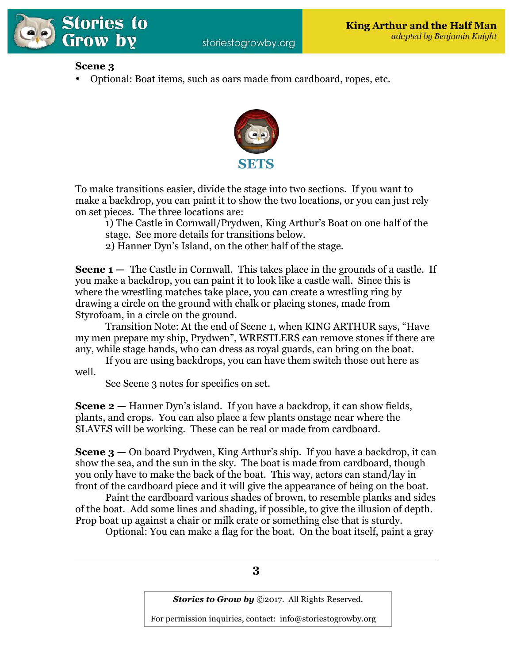

## **Scene 3**

• Optional: Boat items, such as oars made from cardboard, ropes, etc.



To make transitions easier, divide the stage into two sections. If you want to make a backdrop, you can paint it to show the two locations, or you can just rely on set pieces. The three locations are:

 1) The Castle in Cornwall/Prydwen, King Arthur's Boat on one half of the stage. See more details for transitions below.

2) Hanner Dyn's Island, on the other half of the stage.

**Scene 1 —** The Castle in Cornwall. This takes place in the grounds of a castle. If you make a backdrop, you can paint it to look like a castle wall. Since this is where the wrestling matches take place, you can create a wrestling ring by drawing a circle on the ground with chalk or placing stones, made from Styrofoam, in a circle on the ground.

 Transition Note: At the end of Scene 1, when KING ARTHUR says, "Have my men prepare my ship, Prydwen", WRESTLERS can remove stones if there are any, while stage hands, who can dress as royal guards, can bring on the boat.

 If you are using backdrops, you can have them switch those out here as well.

See Scene 3 notes for specifics on set.

**Scene 2 —** Hanner Dyn's island.If you have a backdrop, it can show fields, plants, and crops. You can also place a few plants onstage near where the SLAVES will be working. These can be real or made from cardboard.

**Scene 3** — On board Prydwen, King Arthur's ship. If you have a backdrop, it can show the sea, and the sun in the sky. The boat is made from cardboard, though you only have to make the back of the boat. This way, actors can stand/lay in front of the cardboard piece and it will give the appearance of being on the boat.

 Paint the cardboard various shades of brown, to resemble planks and sides of the boat. Add some lines and shading, if possible, to give the illusion of depth. Prop boat up against a chair or milk crate or something else that is sturdy.

Optional: You can make a flag for the boat. On the boat itself, paint a gray

**3** 

*Stories to Grow by* ©2017. All Rights Reserved.